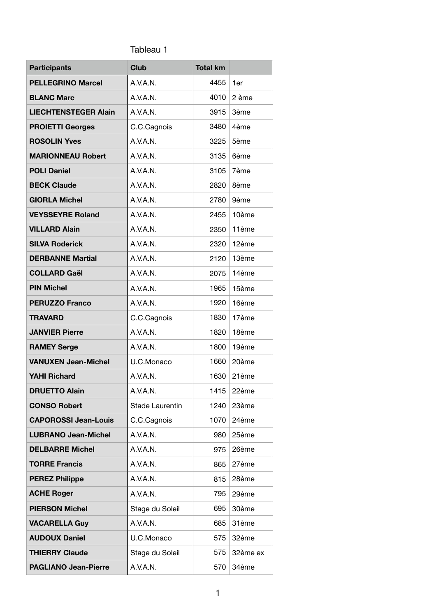## Tableau 1

| <b>Participants</b>         | <b>Club</b>     | <b>Total km</b> |          |
|-----------------------------|-----------------|-----------------|----------|
| <b>PELLEGRINO Marcel</b>    | A.V.A.N.        | 4455            | 1er      |
| <b>BLANC Marc</b>           | A.V.A.N.        | 4010            | 2 ème    |
| <b>LIECHTENSTEGER Alain</b> | A.V.A.N.        | 3915            | 3ème     |
| <b>PROIETTI Georges</b>     | C.C.Cagnois     | 3480            | 4ème     |
| <b>ROSOLIN Yves</b>         | A V A N         | 3225            | 5ème     |
| <b>MARIONNEAU Robert</b>    | A.V.A.N.        | 3135            | 6ème     |
| <b>POLI Daniel</b>          | A.V.A.N.        | 3105            | 7ème     |
| <b>BECK Claude</b>          | A.V.A.N.        | 2820            | 8ème     |
| <b>GIORLA Michel</b>        | A.V.A.N.        | 2780            | 9ème     |
| <b>VEYSSEYRE Roland</b>     | A.V.A.N.        | 2455            | 10ème    |
| <b>VILLARD Alain</b>        | A.V.A.N.        | 2350            | 11ème    |
| <b>SILVA Roderick</b>       | A.V.A.N.        | 2320            | 12ème    |
| <b>DERBANNE Martial</b>     | A.V.A.N.        | 2120            | 13ème    |
| <b>COLLARD Gaël</b>         | A.V.A.N.        | 2075            | 14ème    |
| <b>PIN Michel</b>           | A.V.A.N.        | 1965            | 15ème    |
| <b>PERUZZO Franco</b>       | A.V.A.N.        | 1920            | 16ème    |
| <b>TRAVARD</b>              | C.C.Cagnois     | 1830            | 17ème    |
| <b>JANVIER Pierre</b>       | A.V.A.N.        | 1820            | 18ème    |
| <b>RAMEY Serge</b>          | A.V.A.N.        | 1800            | 19ème    |
| <b>VANUXEN Jean-Michel</b>  | U.C.Monaco      | 1660            | 20ème    |
| <b>YAHI Richard</b>         | A.V.A.N.        | 1630            | 21ème    |
| <b>DRUETTO Alain</b>        | A.V.A.N.        | 1415            | 22ème    |
| <b>CONSO Robert</b>         | Stade Laurentin | 1240            | 23ème    |
| <b>CAPOROSSI Jean-Louis</b> | C.C.Cagnois     | 1070            | 24ème    |
| <b>LUBRANO Jean-Michel</b>  | A.V.A.N.        | 980             | 25ème    |
| <b>DELBARRE Michel</b>      | A.V.A.N.        | 975             | 26ème    |
| <b>TORRE Francis</b>        | A.V.A.N.        | 865             | 27ème    |
| <b>PEREZ Philippe</b>       | A.V.A.N.        | 815             | 28ème    |
| <b>ACHE Roger</b>           | A.V.A.N.        | 795             | 29ème    |
| <b>PIERSON Michel</b>       | Stage du Soleil | 695             | 30ème    |
| <b>VACARELLA Guy</b>        | A.V.A.N.        | 685             | 31ème    |
| <b>AUDOUX Daniel</b>        | U.C.Monaco      | 575             | 32ème    |
| <b>THIERRY Claude</b>       | Stage du Soleil | 575             | 32ème ex |
| <b>PAGLIANO Jean-Pierre</b> | A.V.A.N.        | 570             | 34ème    |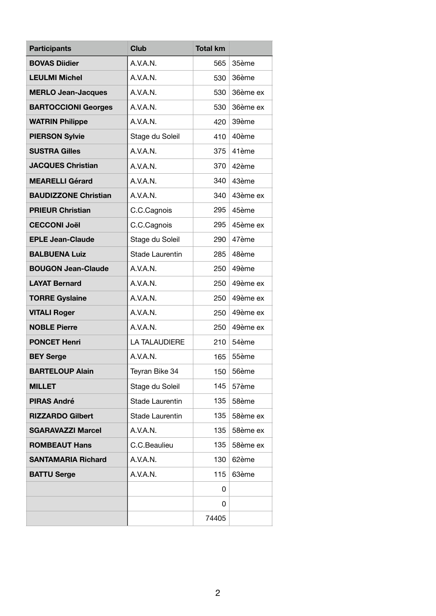| <b>Participants</b>         | <b>Club</b>          | <b>Total km</b> |          |
|-----------------------------|----------------------|-----------------|----------|
| <b>BOVAS Diidier</b>        | A.V.A.N.             | 565             | 35ème    |
| <b>LEULMI Michel</b>        | A.V.A.N.             | 530             | 36ème    |
| <b>MERLO Jean-Jacques</b>   | A.V.A.N.             | 530             | 36ème ex |
| <b>BARTOCCIONI Georges</b>  | A.V.A.N.             | 530             | 36ème ex |
| <b>WATRIN Philippe</b>      | A.V.A.N.             | 420             | 39ème    |
| <b>PIERSON Sylvie</b>       | Stage du Soleil      | 410             | 40ème    |
| <b>SUSTRA Gilles</b>        | A.V.A.N.             | 375             | 41ème    |
| <b>JACQUES Christian</b>    | A.V.A.N.             | 370             | 42ème    |
| <b>MEARELLI Gérard</b>      | A.V.A.N.             | 340             | 43ème    |
| <b>BAUDIZZONE Christian</b> | A.V.A.N.             | 340             | 43ème ex |
| <b>PRIEUR Christian</b>     | C.C.Cagnois          | 295             | 45ème    |
| <b>CECCONI Joël</b>         | C.C.Cagnois          | 295             | 45ème ex |
| <b>EPLE Jean-Claude</b>     | Stage du Soleil      | 290             | 47ème    |
| <b>BALBUENA Luiz</b>        | Stade Laurentin      | 285             | 48ème    |
| <b>BOUGON Jean-Claude</b>   | A.V.A.N.             | 250             | 49ème    |
| <b>LAYAT Bernard</b>        | A.V.A.N.             | 250             | 49ème ex |
| <b>TORRE Gyslaine</b>       | A.V.A.N.             | 250             | 49ème ex |
| <b>VITALI Roger</b>         | A.V.A.N.             | 250             | 49ème ex |
| <b>NOBLE Pierre</b>         | A.V.A.N.             | 250             | 49ème ex |
| <b>PONCET Henri</b>         | <b>LA TALAUDIERE</b> | 210             | 54ème    |
| <b>BEY Serge</b>            | A.V.A.N.             | 165             | 55ème    |
| <b>BARTELOUP Alain</b>      | Teyran Bike 34       | 150             | 56ème    |
| <b>MILLET</b>               | Stage du Soleil      | 145             | 57ème    |
| <b>PIRAS André</b>          | Stade Laurentin      | 135             | 58ème    |
| <b>RIZZARDO Gilbert</b>     | Stade Laurentin      | 135             | 58ème ex |
| <b>SGARAVAZZI Marcel</b>    | A.V.A.N.             | 135             | 58ème ex |
| <b>ROMBEAUT Hans</b>        | C.C.Beaulieu         | 135             | 58ème ex |
| <b>SANTAMARIA Richard</b>   | A.V.A.N.             | 130             | 62ème    |
| <b>BATTU Serge</b>          | A.V.A.N.             | 115             | 63ème    |
|                             |                      | 0               |          |
|                             |                      | 0               |          |
|                             |                      | 74405           |          |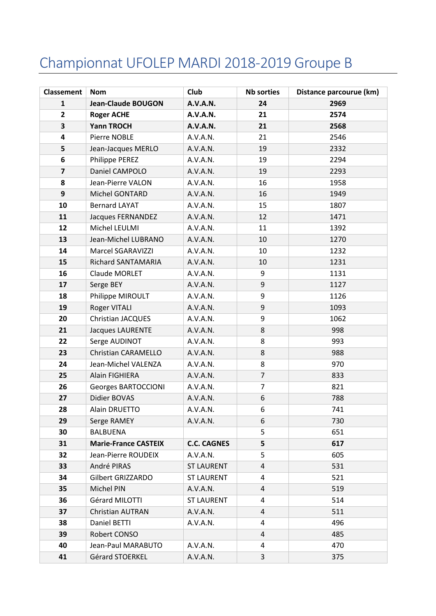## Championnat UFOLEP MARDI 2018-2019 Groupe B

| <b>Classement</b> | <b>Nom</b>                  | <b>Club</b>        | <b>Nb sorties</b> | Distance parcourue (km) |  |
|-------------------|-----------------------------|--------------------|-------------------|-------------------------|--|
| $\mathbf{1}$      | <b>Jean-Claude BOUGON</b>   | <b>A.V.A.N.</b>    | 24                | 2969                    |  |
| $\overline{2}$    | <b>Roger ACHE</b>           | <b>A.V.A.N.</b>    | 21                | 2574                    |  |
| 3                 | <b>Yann TROCH</b>           | <b>A.V.A.N.</b>    | 21                | 2568                    |  |
| 4                 | Pierre NOBLE                | A.V.A.N.           | 21                | 2546                    |  |
| 5                 | Jean-Jacques MERLO          | A.V.A.N.           | 19                | 2332                    |  |
| 6                 | Philippe PEREZ              | A.V.A.N.           | 19                | 2294                    |  |
| $\overline{7}$    | Daniel CAMPOLO              | A.V.A.N.           | 19                | 2293                    |  |
| 8                 | Jean-Pierre VALON           | A.V.A.N.           | 16                | 1958                    |  |
| 9                 | Michel GONTARD              | A.V.A.N.           | 16                | 1949                    |  |
| 10                | <b>Bernard LAYAT</b>        | A.V.A.N.           | 15                | 1807                    |  |
| 11                | Jacques FERNANDEZ           | A.V.A.N.           | 12                | 1471                    |  |
| 12                | Michel LEULMI               | A.V.A.N.           | 11                | 1392                    |  |
| 13                | Jean-Michel LUBRANO         | A.V.A.N.           | 10                | 1270                    |  |
| 14                | Marcel SGARAVIZZI           | A.V.A.N.           | 10                | 1232                    |  |
| 15                | Richard SANTAMARIA          | A.V.A.N.           | 10                | 1231                    |  |
| 16                | Claude MORLET               | A.V.A.N.           | 9                 | 1131                    |  |
| 17                | Serge BEY                   | A.V.A.N.           | 9                 | 1127                    |  |
| 18                | Philippe MIROULT            | A.V.A.N.           | 9                 | 1126                    |  |
| 19                | Roger VITALI                | A.V.A.N.           | 9                 | 1093                    |  |
| 20                | Christian JACQUES           | A.V.A.N.           | 9                 | 1062                    |  |
| 21                | Jacques LAURENTE            | A.V.A.N.           | 8                 | 998                     |  |
| 22                | Serge AUDINOT               | A.V.A.N.           | 8                 | 993                     |  |
| 23                | Christian CARAMELLO         | A.V.A.N.           | 8                 | 988                     |  |
| 24                | Jean-Michel VALENZA         | A.V.A.N.           | 8                 | 970                     |  |
| 25                | Alain FIGHIERA              | A.V.A.N.           | $\overline{7}$    | 833                     |  |
| 26                | <b>Georges BARTOCCIONI</b>  | A.V.A.N.           | $\overline{7}$    | 821                     |  |
| 27                | Didier BOVAS                | A.V.A.N.           | 6                 | 788                     |  |
| 28                | Alain DRUETTO               | A.V.A.N.           | 6                 | 741                     |  |
| 29                | Serge RAMEY                 | A.V.A.N.           | 6                 | 730                     |  |
| 30                | <b>BALBUENA</b>             |                    | 5                 | 651                     |  |
| 31                | <b>Marie-France CASTEIX</b> | <b>C.C. CAGNES</b> | 5                 | 617                     |  |
| 32                | Jean-Pierre ROUDEIX         | A.V.A.N.           | 5                 | 605                     |  |
| 33                | André PIRAS                 | <b>ST LAURENT</b>  | 4                 | 531                     |  |
| 34                | Gilbert GRIZZARDO           | <b>ST LAURENT</b>  | 4                 | 521                     |  |
| 35                | Michel PIN                  | A.V.A.N.           | 4                 | 519                     |  |
| 36                | Gérard MILOTTI              | <b>ST LAURENT</b>  | 4                 | 514                     |  |
| 37                | Christian AUTRAN            | A.V.A.N.           | 4                 | 511                     |  |
| 38                | Daniel BETTI                | A.V.A.N.           | 4                 | 496                     |  |
| 39                | Robert CONSO                |                    | 4                 | 485                     |  |
| 40                | Jean-Paul MARABUTO          | A.V.A.N.           | 4                 | 470                     |  |
| 41                | Gérard STOERKEL             | A.V.A.N.           | 3                 | 375                     |  |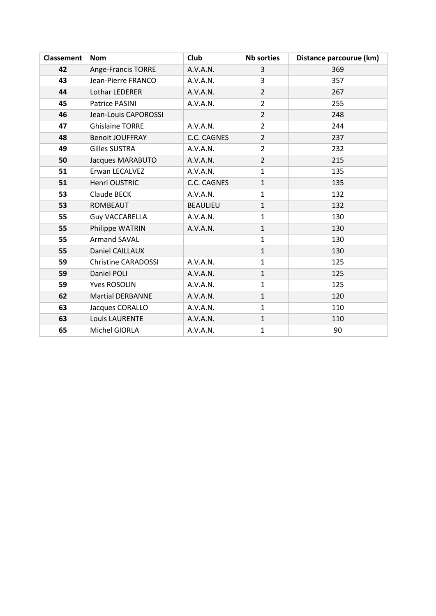| <b>Classement</b> | <b>Nom</b>                 | <b>Club</b>        | <b>Nb sorties</b> | Distance parcourue (km) |
|-------------------|----------------------------|--------------------|-------------------|-------------------------|
| 42                | Ange-Francis TORRE         | A.V.A.N.           | 3                 | 369                     |
| 43                | Jean-Pierre FRANCO         | A.V.A.N.           | 3                 | 357                     |
| 44                | Lothar LEDERER             | A.V.A.N.           | $\overline{2}$    | 267                     |
| 45                | Patrice PASINI             | A.V.A.N.           | $\overline{2}$    | 255                     |
| 46                | Jean-Louis CAPOROSSI       |                    | $\overline{2}$    | 248                     |
| 47                | <b>Ghislaine TORRE</b>     | A.V.A.N.           | $\overline{2}$    | 244                     |
| 48                | <b>Benoit JOUFFRAY</b>     | <b>C.C. CAGNES</b> | $\overline{2}$    | 237                     |
| 49                | <b>Gilles SUSTRA</b>       | A.V.A.N.           | $\overline{2}$    | 232                     |
| 50                | Jacques MARABUTO           | A.V.A.N.           | $\overline{2}$    | 215                     |
| 51                | Erwan LECALVEZ             | A.V.A.N.           | $\mathbf{1}$      | 135                     |
| 51                | Henri OUSTRIC              | C.C. CAGNES        | $\mathbf{1}$      | 135                     |
| 53                | Claude BECK                | A.V.A.N.           | $\mathbf{1}$      | 132                     |
| 53                | <b>ROMBEAUT</b>            | <b>BEAULIEU</b>    | $\mathbf{1}$      | 132                     |
| 55                | <b>Guy VACCARELLA</b>      | A.V.A.N.           | $\mathbf{1}$      | 130                     |
| 55                | Philippe WATRIN            | A.V.A.N.           | $\mathbf{1}$      | 130                     |
| 55                | <b>Armand SAVAL</b>        |                    | $\mathbf{1}$      | 130                     |
| 55                | Daniel CAILLAUX            |                    | $\mathbf{1}$      | 130                     |
| 59                | <b>Christine CARADOSSI</b> | A.V.A.N.           | $\mathbf{1}$      | 125                     |
| 59                | Daniel POLI                | A.V.A.N.           | $\mathbf{1}$      | 125                     |
| 59                | <b>Yves ROSOLIN</b>        | A.V.A.N.           | $\mathbf{1}$      | 125                     |
| 62                | <b>Martial DERBANNE</b>    | A.V.A.N.           | $\mathbf{1}$      | 120                     |
| 63                | Jacques CORALLO            | A.V.A.N.           | $\mathbf{1}$      | 110                     |
| 63                | Louis LAURENTE             | A.V.A.N.           | $\mathbf{1}$      | 110                     |
| 65                | Michel GIORLA              | A.V.A.N.           | $\mathbf 1$       | 90                      |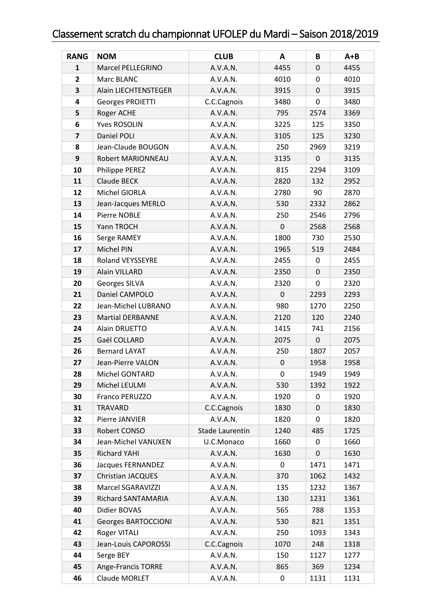## Classement scratch du championnat UFOLEP du Mardi – Saison 2018/2019

| <b>RANG</b>             | <b>NOM</b>                 | <b>CLUB</b>     | A           | B    | $A + B$ |
|-------------------------|----------------------------|-----------------|-------------|------|---------|
| 1                       | Marcel PELLEGRINO          | A.V.A.N.        | 4455        | 0    | 4455    |
| $\overline{2}$          | Marc BLANC                 | A.V.A.N.        | 4010        | 0    | 4010    |
| 3                       | Alain LIECHTENSTEGER       | A.V.A.N.        | 3915        | 0    | 3915    |
| $\overline{\mathbf{4}}$ | Georges PROIETTI           | C.C.Cagnois     | 3480        | 0    | 3480    |
| 5                       | Roger ACHE                 | A.V.A.N.        | 795         | 2574 | 3369    |
| 6                       | <b>Yves ROSOLIN</b>        | A.V.A.N.        | 3225        | 125  | 3350    |
| $\overline{7}$          | Daniel POLI                | A.V.A.N.        | 3105        | 125  | 3230    |
| 8                       | Jean-Claude BOUGON         | A.V.A.N.        | 250         | 2969 | 3219    |
| 9                       | Robert MARIONNEAU          | A.V.A.N.        | 3135        | 0    | 3135    |
| 10                      | Philippe PEREZ             | A.V.A.N.        | 815         | 2294 | 3109    |
| 11                      | Claude BECK                | A.V.A.N.        | 2820        | 132  | 2952    |
| 12                      | Michel GIORLA              | A.V.A.N.        | 2780        | 90   | 2870    |
| 13                      | Jean-Jacques MERLO         | A.V.A.N.        | 530         | 2332 | 2862    |
| 14                      | Pierre NOBLE               | A.V.A.N.        | 250         | 2546 | 2796    |
| 15                      | Yann TROCH                 | A.V.A.N.        | $\mathbf 0$ | 2568 | 2568    |
| 16                      | Serge RAMEY                | A.V.A.N.        | 1800        | 730  | 2530    |
| 17                      | Michel PIN                 | A.V.A.N.        | 1965        | 519  | 2484    |
| 18                      | <b>Roland VEYSSEYRE</b>    | A.V.A.N.        | 2455        | 0    | 2455    |
| 19                      | Alain VILLARD              | A.V.A.N.        | 2350        | 0    | 2350    |
| 20                      | Georges SILVA              | A.V.A.N.        | 2320        | 0    | 2320    |
| 21                      | Daniel CAMPOLO             | A.V.A.N.        | $\mathbf 0$ | 2293 | 2293    |
| 22                      | Jean-Michel LUBRANO        | A.V.A.N.        | 980         | 1270 | 2250    |
| 23                      | <b>Martial DERBANNE</b>    | A.V.A.N.        | 2120        | 120  | 2240    |
| 24                      | Alain DRUETTO              | A.V.A.N.        | 1415        | 741  | 2156    |
| 25                      | Gaël COLLARD               | A.V.A.N.        | 2075        | 0    | 2075    |
| 26                      | <b>Bernard LAYAT</b>       | A.V.A.N.        | 250         | 1807 | 2057    |
| 27                      | Jean-Pierre VALON          | A.V.A.N.        | 0           | 1958 | 1958    |
| 28                      | Michel GONTARD             | A.V.A.N.        | 0           | 1949 | 1949    |
| 29                      | Michel LEULMI              | A.V.A.N.        | 530         | 1392 | 1922    |
| 30                      | Franco PERUZZO             | A.V.A.N.        | 1920        | 0    | 1920    |
| 31                      | <b>TRAVARD</b>             | C.C.Cagnois     | 1830        | 0    | 1830    |
| 32                      | Pierre JANVIER             | A.V.A.N.        | 1820        | 0    | 1820    |
| 33                      | Robert CONSO               | Stade Laurentin | 1240        | 485  | 1725    |
| 34                      | Jean-Michel VANUXEN        | U.C.Monaco      | 1660        | 0    | 1660    |
| 35                      | <b>Richard YAHI</b>        | A.V.A.N.        | 1630        | 0    | 1630    |
| 36                      | Jacques FERNANDEZ          | A.V.A.N.        | 0           | 1471 | 1471    |
| 37                      | <b>Christian JACQUES</b>   | A.V.A.N.        | 370         | 1062 | 1432    |
| 38                      | Marcel SGARAVIZZI          | A.V.A.N.        | 135         | 1232 | 1367    |
| 39                      | Richard SANTAMARIA         | A.V.A.N.        | 130         | 1231 | 1361    |
| 40                      | Didier BOVAS               | A.V.A.N.        | 565         | 788  | 1353    |
| 41                      | <b>Georges BARTOCCIONI</b> | A.V.A.N.        | 530         | 821  | 1351    |
| 42                      | Roger VITALI               | A.V.A.N.        | 250         | 1093 | 1343    |
| 43                      | Jean-Louis CAPOROSSI       | C.C.Cagnois     | 1070        | 248  | 1318    |
| 44                      | Serge BEY                  | A.V.A.N.        | 150         | 1127 | 1277    |
| 45                      | Ange-Francis TORRE         | A.V.A.N.        | 865         | 369  | 1234    |
| 46                      | Claude MORLET              | A.V.A.N.        | 0           | 1131 | 1131    |